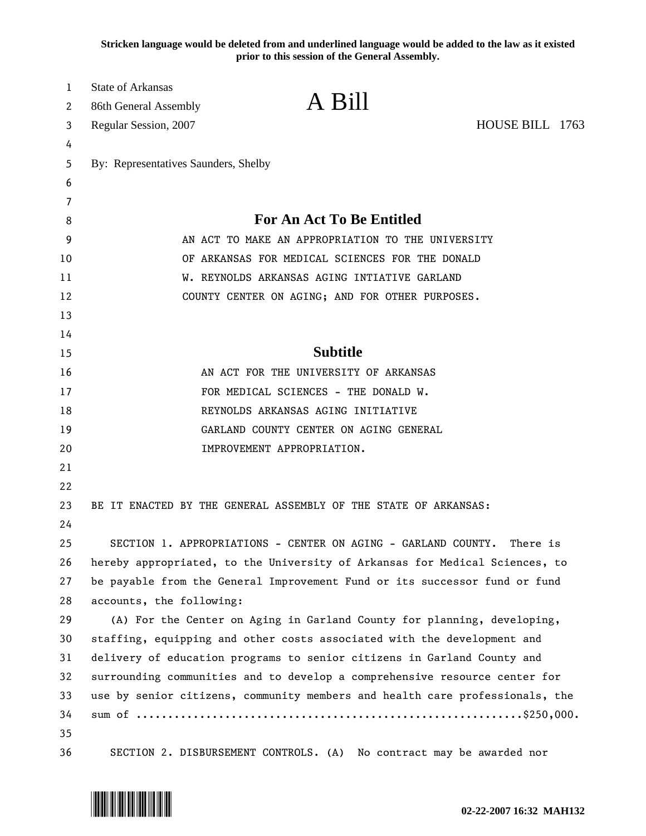**Stricken language would be deleted from and underlined language would be added to the law as it existed prior to this session of the General Assembly.**

| 1<br>2 | <b>State of Arkansas</b><br>86th General Assembly                       | A Bill                                                                       |                 |  |  |  |  |  |  |  |  |
|--------|-------------------------------------------------------------------------|------------------------------------------------------------------------------|-----------------|--|--|--|--|--|--|--|--|
| 3      | Regular Session, 2007                                                   |                                                                              | HOUSE BILL 1763 |  |  |  |  |  |  |  |  |
| 4      |                                                                         |                                                                              |                 |  |  |  |  |  |  |  |  |
| 5      | By: Representatives Saunders, Shelby                                    |                                                                              |                 |  |  |  |  |  |  |  |  |
| 6      |                                                                         |                                                                              |                 |  |  |  |  |  |  |  |  |
| 7      |                                                                         |                                                                              |                 |  |  |  |  |  |  |  |  |
| 8      |                                                                         | <b>For An Act To Be Entitled</b>                                             |                 |  |  |  |  |  |  |  |  |
| 9      |                                                                         | AN ACT TO MAKE AN APPROPRIATION TO THE UNIVERSITY                            |                 |  |  |  |  |  |  |  |  |
| 10     |                                                                         | OF ARKANSAS FOR MEDICAL SCIENCES FOR THE DONALD                              |                 |  |  |  |  |  |  |  |  |
| 11     |                                                                         | W. REYNOLDS ARKANSAS AGING INTIATIVE GARLAND                                 |                 |  |  |  |  |  |  |  |  |
| 12     |                                                                         | COUNTY CENTER ON AGING; AND FOR OTHER PURPOSES.                              |                 |  |  |  |  |  |  |  |  |
| 13     |                                                                         |                                                                              |                 |  |  |  |  |  |  |  |  |
| 14     |                                                                         |                                                                              |                 |  |  |  |  |  |  |  |  |
| 15     |                                                                         | <b>Subtitle</b>                                                              |                 |  |  |  |  |  |  |  |  |
| 16     |                                                                         | AN ACT FOR THE UNIVERSITY OF ARKANSAS                                        |                 |  |  |  |  |  |  |  |  |
| 17     |                                                                         | FOR MEDICAL SCIENCES - THE DONALD W.                                         |                 |  |  |  |  |  |  |  |  |
| 18     |                                                                         | REYNOLDS ARKANSAS AGING INITIATIVE                                           |                 |  |  |  |  |  |  |  |  |
| 19     |                                                                         | GARLAND COUNTY CENTER ON AGING GENERAL                                       |                 |  |  |  |  |  |  |  |  |
| 20     |                                                                         | IMPROVEMENT APPROPRIATION.                                                   |                 |  |  |  |  |  |  |  |  |
| 21     |                                                                         |                                                                              |                 |  |  |  |  |  |  |  |  |
| 22     |                                                                         |                                                                              |                 |  |  |  |  |  |  |  |  |
| 23     |                                                                         | BE IT ENACTED BY THE GENERAL ASSEMBLY OF THE STATE OF ARKANSAS:              |                 |  |  |  |  |  |  |  |  |
| 24     |                                                                         |                                                                              |                 |  |  |  |  |  |  |  |  |
| 25     |                                                                         | SECTION 1. APPROPRIATIONS - CENTER ON AGING - GARLAND COUNTY.                | There is        |  |  |  |  |  |  |  |  |
| 26     |                                                                         | hereby appropriated, to the University of Arkansas for Medical Sciences, to  |                 |  |  |  |  |  |  |  |  |
| 27     |                                                                         | be payable from the General Improvement Fund or its successor fund or fund   |                 |  |  |  |  |  |  |  |  |
| 28     | accounts, the following:                                                |                                                                              |                 |  |  |  |  |  |  |  |  |
| 29     |                                                                         | (A) For the Center on Aging in Garland County for planning, developing,      |                 |  |  |  |  |  |  |  |  |
| 30     | staffing, equipping and other costs associated with the development and |                                                                              |                 |  |  |  |  |  |  |  |  |
| 31     | delivery of education programs to senior citizens in Garland County and |                                                                              |                 |  |  |  |  |  |  |  |  |
| 32     |                                                                         | surrounding communities and to develop a comprehensive resource center for   |                 |  |  |  |  |  |  |  |  |
| 33     |                                                                         | use by senior citizens, community members and health care professionals, the |                 |  |  |  |  |  |  |  |  |
| 34     |                                                                         |                                                                              |                 |  |  |  |  |  |  |  |  |
| 35     |                                                                         |                                                                              |                 |  |  |  |  |  |  |  |  |
| 36     |                                                                         | SECTION 2. DISBURSEMENT CONTROLS. (A) No contract may be awarded nor         |                 |  |  |  |  |  |  |  |  |

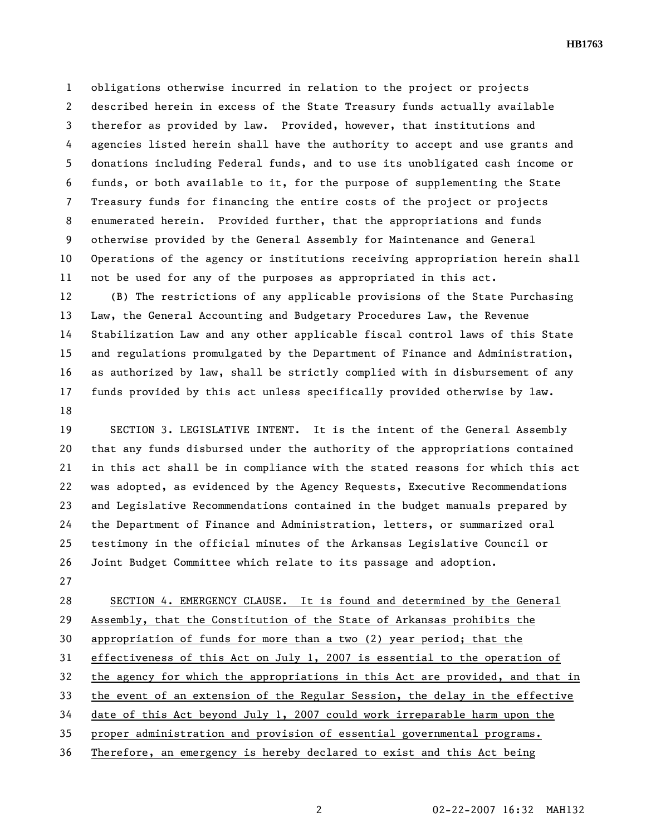**HB1763** 

1 obligations otherwise incurred in relation to the project or projects 2 described herein in excess of the State Treasury funds actually available 3 therefor as provided by law. Provided, however, that institutions and 4 agencies listed herein shall have the authority to accept and use grants and 5 donations including Federal funds, and to use its unobligated cash income or 6 funds, or both available to it, for the purpose of supplementing the State 7 Treasury funds for financing the entire costs of the project or projects 8 enumerated herein. Provided further, that the appropriations and funds 9 otherwise provided by the General Assembly for Maintenance and General 10 Operations of the agency or institutions receiving appropriation herein shall 11 not be used for any of the purposes as appropriated in this act.

12 (B) The restrictions of any applicable provisions of the State Purchasing 13 Law, the General Accounting and Budgetary Procedures Law, the Revenue 14 Stabilization Law and any other applicable fiscal control laws of this State 15 and regulations promulgated by the Department of Finance and Administration, 16 as authorized by law, shall be strictly complied with in disbursement of any 17 funds provided by this act unless specifically provided otherwise by law. 18

19 SECTION 3. LEGISLATIVE INTENT. It is the intent of the General Assembly 20 that any funds disbursed under the authority of the appropriations contained 21 in this act shall be in compliance with the stated reasons for which this act 22 was adopted, as evidenced by the Agency Requests, Executive Recommendations 23 and Legislative Recommendations contained in the budget manuals prepared by 24 the Department of Finance and Administration, letters, or summarized oral 25 testimony in the official minutes of the Arkansas Legislative Council or 26 Joint Budget Committee which relate to its passage and adoption.

27

28 SECTION 4. EMERGENCY CLAUSE. It is found and determined by the General 29 Assembly, that the Constitution of the State of Arkansas prohibits the 30 appropriation of funds for more than a two (2) year period; that the 31 effectiveness of this Act on July 1, 2007 is essential to the operation of 32 the agency for which the appropriations in this Act are provided, and that in 33 the event of an extension of the Regular Session, the delay in the effective 34 date of this Act beyond July 1, 2007 could work irreparable harm upon the 35 proper administration and provision of essential governmental programs. 36 Therefore, an emergency is hereby declared to exist and this Act being